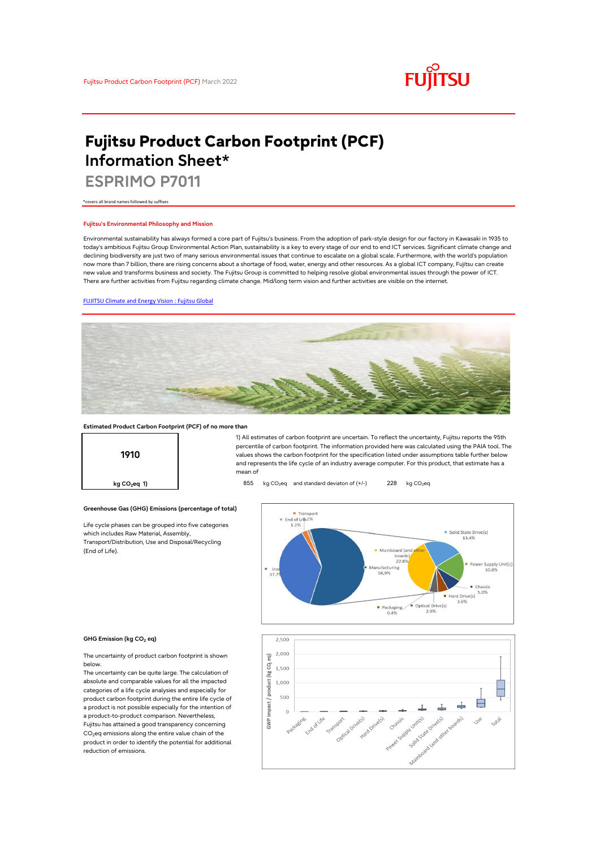

# **Fujitsu Product Carbon Footprint (PCF) Information Sheet\***

**ESPRIMO P7011**

\*covers all brand names followed by suffixes

#### **Fujitsu's Environmental Philosophy and Mission**

Environmental sustainability has always formed a core part of Fujitsu's business. From the adoption of park-style design for our factory in Kawasaki in 1935 to today's ambitious Fujitsu Group Environmental Action Plan, sustainability is a key to every stage of our end to end ICT services. Significant climate change and declining biodiversity are just two of many serious environmental issues that continue to escalate on a global scale. Furthermore, with the world's population now more than 7 billion, there are rising concerns about a shortage of food, water, energy and other resources. As a global ICT company, Fujitsu can create new value and transforms business and society. The Fujitsu Group is committed to helping resolve global environmental issues through the power of ICT. There are further activities from Fujitsu regarding climate change. Mid/long term vision and further activities are visible on the internet.

## [FUJITSU Climate and Energy Vision : Fujitsu Global](https://www.fujitsu.com/global/about/environment/climate-energy-vision/)



### **Estimated Product Carbon Footprint (PCF) of no more than**

**Greenhouse Gas (GHG) Emissions (percentage of total)**

Life cycle phases can be grouped into five categories

which includes Raw Material, Assembly, Transport/Distribution, Use and Disposal/Recycling



1) All estimates of carbon footprint are uncertain. To reflect the uncertainty, Fujitsu reports the 95th percentile of carbon footprint. The information provided here was calculated using the PAIA tool. The values shows the carbon footprint for the specification listed under assumptions table further below and represents the life cycle of an industry average computer. For this product, that estimate has a mean of

**kg CO<sub>2</sub>eq 1) a 1 855** kg CO<sub>2</sub>eq and standard deviaton of (+/-) 228 kg CO<sub>2</sub>eq

#### - Transport End of Light  $\begin{tabular}{ll} \hline & Solid State Drive(s) \\ & 13.4\% \end{tabular}$ Mainboard (and boards 22.89 Supply Unit(s<br>10.8% Manufacturing 58,9% Chassis Hard Drive(s)  $5.0\%$  $\begin{array}{c|c}\n\hline\n\text{Packaging} & \text{Optical Drive(s)} \\
\hline\n0.4\% & 2.9\% \\
\hline\n\end{array}$ 3.6%



(End of Life).

reduction of emissions.

The uncertainty of product carbon footprint is shown below.

The uncertainty can be quite large. The calculation of absolute and comparable values for all the impacted categories of a life cycle analysies and especially for product carbon footprint during the entire life cycle of a product is not possible especially for the intention of a product-to-product comparison. Nevertheless, Fujitsu has attained a good transparency concerning CO<sub>2</sub>eq emissions along the entire value chain of the product in order to identify the potential for additional